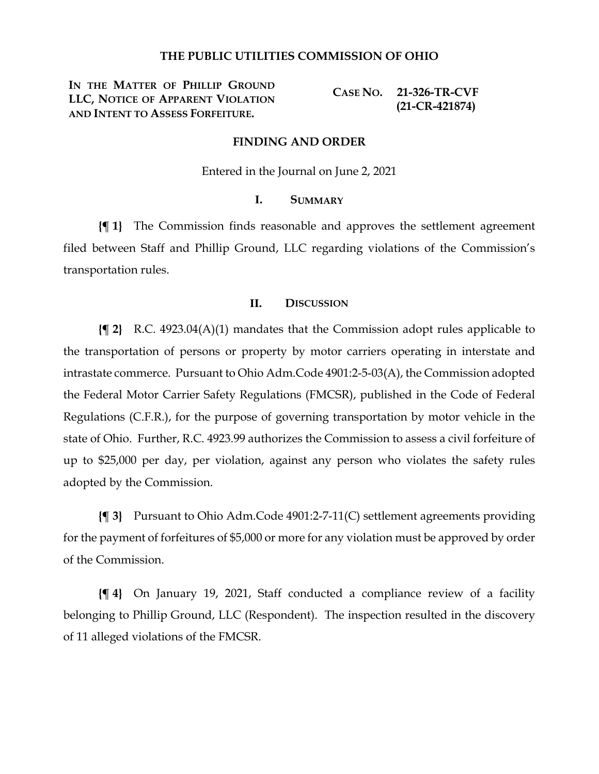### **THE PUBLIC UTILITIES COMMISSION OF OHIO**

**IN THE MATTER OF PHILLIP GROUND LLC, NOTICE OF APPARENT VIOLATION AND INTENT TO ASSESS FORFEITURE.**

**CASE NO. 21-326-TR-CVF (21-CR-421874)**

### **FINDING AND ORDER**

Entered in the Journal on June 2, 2021

# **I. SUMMARY**

**{¶ 1}** The Commission finds reasonable and approves the settlement agreement filed between Staff and Phillip Ground, LLC regarding violations of the Commission's transportation rules.

### **II. DISCUSSION**

**{¶ 2}** R.C. 4923.04(A)(1) mandates that the Commission adopt rules applicable to the transportation of persons or property by motor carriers operating in interstate and intrastate commerce. Pursuant to Ohio Adm.Code 4901:2-5-03(A), the Commission adopted the Federal Motor Carrier Safety Regulations (FMCSR), published in the Code of Federal Regulations (C.F.R.), for the purpose of governing transportation by motor vehicle in the state of Ohio. Further, R.C. 4923.99 authorizes the Commission to assess a civil forfeiture of up to \$25,000 per day, per violation, against any person who violates the safety rules adopted by the Commission.

**{¶ 3}** Pursuant to Ohio Adm.Code 4901:2-7-11(C) settlement agreements providing for the payment of forfeitures of \$5,000 or more for any violation must be approved by order of the Commission.

**{¶ 4}** On January 19, 2021, Staff conducted a compliance review of a facility belonging to Phillip Ground, LLC (Respondent). The inspection resulted in the discovery of 11 alleged violations of the FMCSR.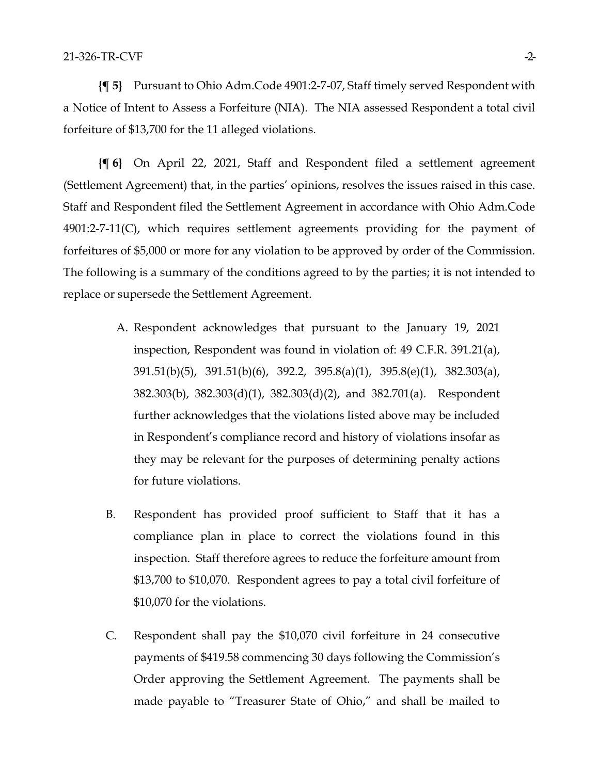**{¶ 5}** Pursuant to Ohio Adm.Code 4901:2-7-07, Staff timely served Respondent with a Notice of Intent to Assess a Forfeiture (NIA). The NIA assessed Respondent a total civil forfeiture of \$13,700 for the 11 alleged violations.

**{¶ 6}** On April 22, 2021, Staff and Respondent filed a settlement agreement (Settlement Agreement) that, in the parties' opinions, resolves the issues raised in this case. Staff and Respondent filed the Settlement Agreement in accordance with Ohio Adm.Code 4901:2-7-11(C), which requires settlement agreements providing for the payment of forfeitures of \$5,000 or more for any violation to be approved by order of the Commission. The following is a summary of the conditions agreed to by the parties; it is not intended to replace or supersede the Settlement Agreement.

- A. Respondent acknowledges that pursuant to the January 19, 2021 inspection, Respondent was found in violation of: 49 C.F.R. 391.21(a), 391.51(b)(5), 391.51(b)(6), 392.2, 395.8(a)(1), 395.8(e)(1), 382.303(a), 382.303(b), 382.303(d)(1), 382.303(d)(2), and 382.701(a). Respondent further acknowledges that the violations listed above may be included in Respondent's compliance record and history of violations insofar as they may be relevant for the purposes of determining penalty actions for future violations.
- B. Respondent has provided proof sufficient to Staff that it has a compliance plan in place to correct the violations found in this inspection. Staff therefore agrees to reduce the forfeiture amount from \$13,700 to \$10,070. Respondent agrees to pay a total civil forfeiture of \$10,070 for the violations.
- C. Respondent shall pay the \$10,070 civil forfeiture in 24 consecutive payments of \$419.58 commencing 30 days following the Commission's Order approving the Settlement Agreement. The payments shall be made payable to "Treasurer State of Ohio," and shall be mailed to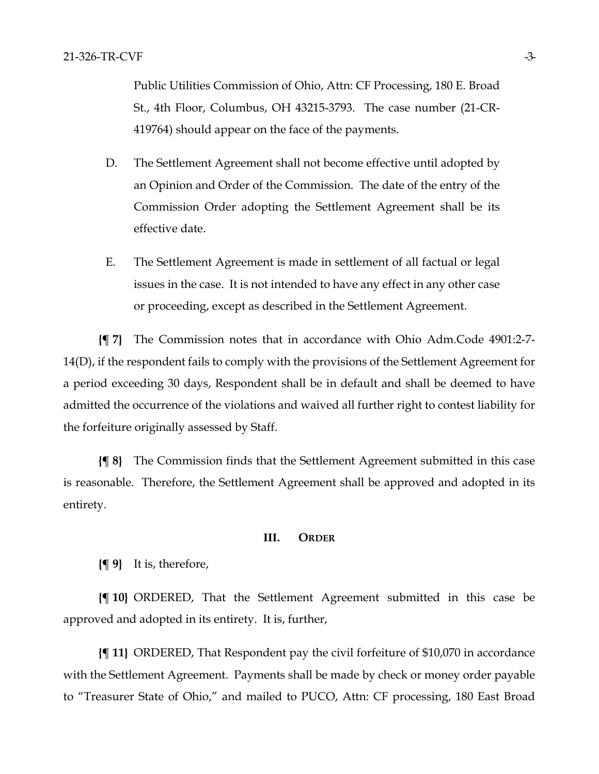Public Utilities Commission of Ohio, Attn: CF Processing, 180 E. Broad St., 4th Floor, Columbus, OH 43215-3793. The case number (21-CR-419764) should appear on the face of the payments.

- D. The Settlement Agreement shall not become effective until adopted by an Opinion and Order of the Commission. The date of the entry of the Commission Order adopting the Settlement Agreement shall be its effective date.
- E. The Settlement Agreement is made in settlement of all factual or legal issues in the case. It is not intended to have any effect in any other case or proceeding, except as described in the Settlement Agreement.

**{¶ 7}** The Commission notes that in accordance with Ohio Adm.Code 4901:2-7- 14(D), if the respondent fails to comply with the provisions of the Settlement Agreement for a period exceeding 30 days, Respondent shall be in default and shall be deemed to have admitted the occurrence of the violations and waived all further right to contest liability for the forfeiture originally assessed by Staff.

**{¶ 8}** The Commission finds that the Settlement Agreement submitted in this case is reasonable. Therefore, the Settlement Agreement shall be approved and adopted in its entirety.

#### **III. ORDER**

**{¶ 9}** It is, therefore,

**{¶ 10}** ORDERED, That the Settlement Agreement submitted in this case be approved and adopted in its entirety. It is, further,

**{¶ 11}** ORDERED, That Respondent pay the civil forfeiture of \$10,070 in accordance with the Settlement Agreement. Payments shall be made by check or money order payable to "Treasurer State of Ohio," and mailed to PUCO, Attn: CF processing, 180 East Broad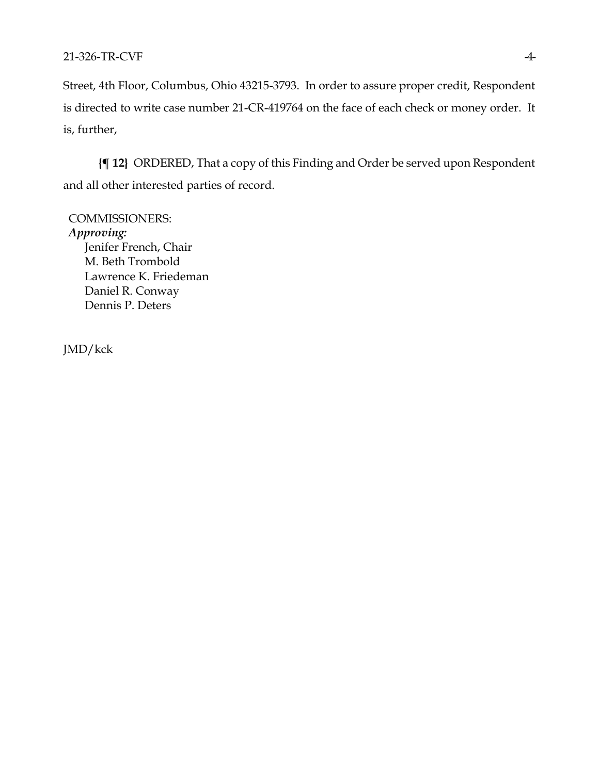# 21-326-TR-CVF 4

Street, 4th Floor, Columbus, Ohio 43215-3793. In order to assure proper credit, Respondent is directed to write case number 21-CR-419764 on the face of each check or money order. It is, further,

**{¶ 12}** ORDERED, That a copy of this Finding and Order be served upon Respondent and all other interested parties of record.

COMMISSIONERS: *Approving:*  Jenifer French, Chair M. Beth Trombold Lawrence K. Friedeman Daniel R. Conway Dennis P. Deters

JMD/kck